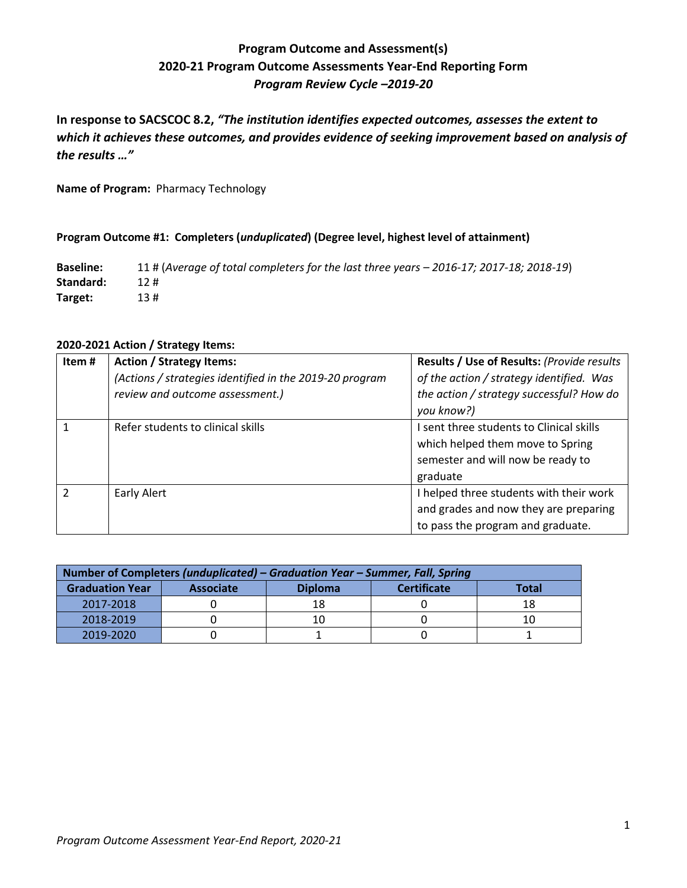# **Program Outcome and Assessment(s) 2020-21 Program Outcome Assessments Year-End Reporting Form** *Program Review Cycle –2019-20*

**In response to SACSCOC 8.2,** *"The institution identifies expected outcomes, assesses the extent to which it achieves these outcomes, and provides evidence of seeking improvement based on analysis of the results …"*

**Name of Program:** Pharmacy Technology

### **Program Outcome #1: Completers (***unduplicated***) (Degree level, highest level of attainment)**

**Baseline:** 11 # (*Average of total completers for the last three years – 2016-17; 2017-18; 2018-19*) **Standard:** 12 # **Target:** 13 #

| 2020-2021 Action / Strategy Items: |  |  |  |
|------------------------------------|--|--|--|
|------------------------------------|--|--|--|

| Item# | <b>Action / Strategy Items:</b><br>(Actions / strategies identified in the 2019-20 program<br>review and outcome assessment.) | Results / Use of Results: (Provide results<br>of the action / strategy identified. Was<br>the action / strategy successful? How do<br>you know?) |
|-------|-------------------------------------------------------------------------------------------------------------------------------|--------------------------------------------------------------------------------------------------------------------------------------------------|
|       | Refer students to clinical skills                                                                                             | I sent three students to Clinical skills<br>which helped them move to Spring<br>semester and will now be ready to<br>graduate                    |
|       | Early Alert                                                                                                                   | I helped three students with their work<br>and grades and now they are preparing<br>to pass the program and graduate.                            |

| Number of Completers (unduplicated) – Graduation Year – Summer, Fall, Spring |                  |                |                    |       |  |
|------------------------------------------------------------------------------|------------------|----------------|--------------------|-------|--|
| <b>Graduation Year</b>                                                       | <b>Associate</b> | <b>Diploma</b> | <b>Certificate</b> | Total |  |
| 2017-2018                                                                    |                  |                |                    |       |  |
| 2018-2019                                                                    |                  |                |                    |       |  |
| 2019-2020                                                                    |                  |                |                    |       |  |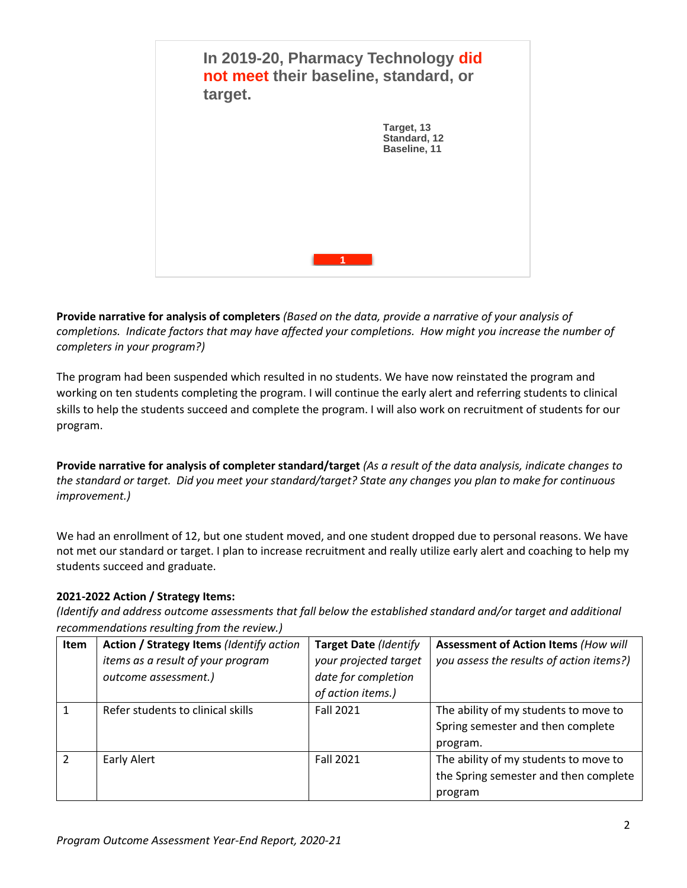

**Provide narrative for analysis of completers** *(Based on the data, provide a narrative of your analysis of completions. Indicate factors that may have affected your completions. How might you increase the number of completers in your program?)*

The program had been suspended which resulted in no students. We have now reinstated the program and working on ten students completing the program. I will continue the early alert and referring students to clinical skills to help the students succeed and complete the program. I will also work on recruitment of students for our program.

**Provide narrative for analysis of completer standard/target** *(As a result of the data analysis, indicate changes to the standard or target. Did you meet your standard/target? State any changes you plan to make for continuous improvement.)*

We had an enrollment of 12, but one student moved, and one student dropped due to personal reasons. We have not met our standard or target. I plan to increase recruitment and really utilize early alert and coaching to help my students succeed and graduate.

# **2021-2022 Action / Strategy Items:**

*(Identify and address outcome assessments that fall below the established standard and/or target and additional recommendations resulting from the review.)*

| <b>Item</b> | Action / Strategy Items (Identify action<br>items as a result of your program<br>outcome assessment.) | <b>Target Date (Identify</b><br>your projected target<br>date for completion | <b>Assessment of Action Items (How will</b><br>you assess the results of action items?)   |
|-------------|-------------------------------------------------------------------------------------------------------|------------------------------------------------------------------------------|-------------------------------------------------------------------------------------------|
|             |                                                                                                       | of action items.)                                                            |                                                                                           |
|             | Refer students to clinical skills                                                                     | <b>Fall 2021</b>                                                             | The ability of my students to move to<br>Spring semester and then complete<br>program.    |
|             | Early Alert                                                                                           | <b>Fall 2021</b>                                                             | The ability of my students to move to<br>the Spring semester and then complete<br>program |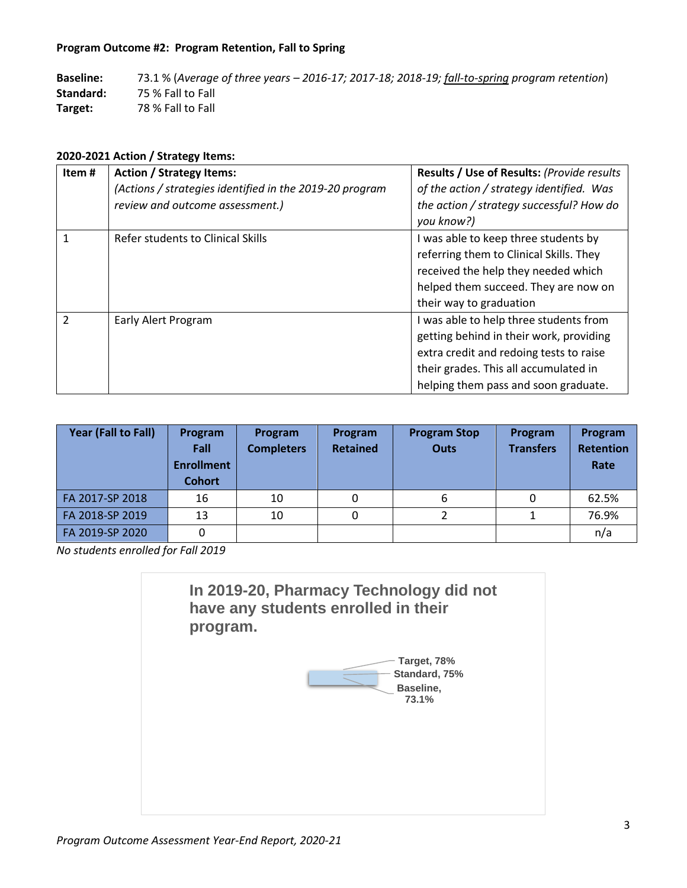## **Program Outcome #2: Program Retention, Fall to Spring**

**Baseline:** 73.1 % (*Average of three years – 2016-17; 2017-18; 2018-19; fall-to-spring program retention*) **Standard:** 75 % Fall to Fall **Target:** 78 % Fall to Fall

## **2020-2021 Action / Strategy Items:**

| Item#         | <b>Action / Strategy Items:</b>                         | Results / Use of Results: (Provide results |
|---------------|---------------------------------------------------------|--------------------------------------------|
|               | (Actions / strategies identified in the 2019-20 program | of the action / strategy identified. Was   |
|               | review and outcome assessment.)                         | the action / strategy successful? How do   |
|               |                                                         | you know?)                                 |
|               | Refer students to Clinical Skills                       | I was able to keep three students by       |
|               |                                                         | referring them to Clinical Skills. They    |
|               |                                                         | received the help they needed which        |
|               |                                                         | helped them succeed. They are now on       |
|               |                                                         | their way to graduation                    |
| $\mathcal{P}$ | Early Alert Program                                     | I was able to help three students from     |
|               |                                                         | getting behind in their work, providing    |
|               |                                                         | extra credit and redoing tests to raise    |
|               |                                                         | their grades. This all accumulated in      |
|               |                                                         | helping them pass and soon graduate.       |

| Year (Fall to Fall) | Program<br>Fall<br><b>Enrollment</b><br><b>Cohort</b> | Program<br><b>Completers</b> | Program<br><b>Retained</b> | <b>Program Stop</b><br><b>Outs</b> | Program<br><b>Transfers</b> | Program<br><b>Retention</b><br>Rate |
|---------------------|-------------------------------------------------------|------------------------------|----------------------------|------------------------------------|-----------------------------|-------------------------------------|
| FA 2017-SP 2018     | 16                                                    | 10                           |                            | 6                                  |                             | 62.5%                               |
| FA 2018-SP 2019     | 13                                                    | 10                           | 0                          |                                    |                             | 76.9%                               |
| FA 2019-SP 2020     | 0                                                     |                              |                            |                                    |                             | n/a                                 |

*No students enrolled for Fall 2019*

**In 2019-20, Pharmacy Technology did not have any students enrolled in their program.**

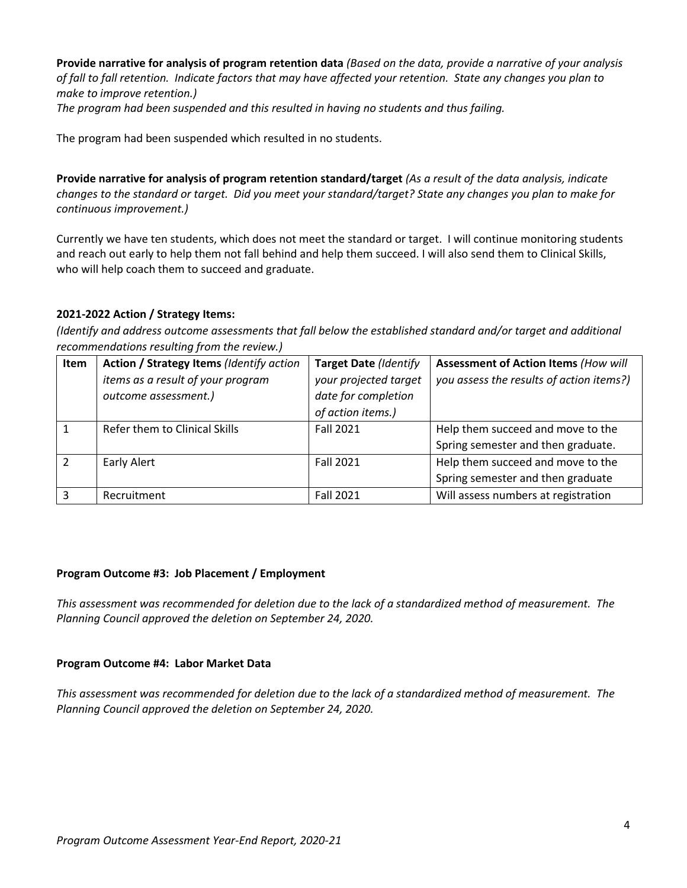**Provide narrative for analysis of program retention data** *(Based on the data, provide a narrative of your analysis of fall to fall retention. Indicate factors that may have affected your retention. State any changes you plan to make to improve retention.) The program had been suspended and this resulted in having no students and thus failing.* 

The program had been suspended which resulted in no students.

**Provide narrative for analysis of program retention standard/target** *(As a result of the data analysis, indicate changes to the standard or target. Did you meet your standard/target? State any changes you plan to make for continuous improvement.)*

Currently we have ten students, which does not meet the standard or target. I will continue monitoring students and reach out early to help them not fall behind and help them succeed. I will also send them to Clinical Skills, who will help coach them to succeed and graduate.

# **2021-2022 Action / Strategy Items:**

*(Identify and address outcome assessments that fall below the established standard and/or target and additional recommendations resulting from the review.)*

| Item | Action / Strategy Items (Identify action | <b>Target Date (Identify</b> | <b>Assessment of Action Items (How will</b> |
|------|------------------------------------------|------------------------------|---------------------------------------------|
|      | items as a result of your program        | your projected target        | you assess the results of action items?)    |
|      | outcome assessment.)                     | date for completion          |                                             |
|      |                                          | of action items.)            |                                             |
|      | Refer them to Clinical Skills            | <b>Fall 2021</b>             | Help them succeed and move to the           |
|      |                                          |                              | Spring semester and then graduate.          |
|      | Early Alert                              | Fall 2021                    | Help them succeed and move to the           |
|      |                                          |                              | Spring semester and then graduate           |
| 3    | Recruitment                              | <b>Fall 2021</b>             | Will assess numbers at registration         |

### **Program Outcome #3: Job Placement / Employment**

*This assessment was recommended for deletion due to the lack of a standardized method of measurement. The Planning Council approved the deletion on September 24, 2020.*

### **Program Outcome #4: Labor Market Data**

*This assessment was recommended for deletion due to the lack of a standardized method of measurement. The Planning Council approved the deletion on September 24, 2020.*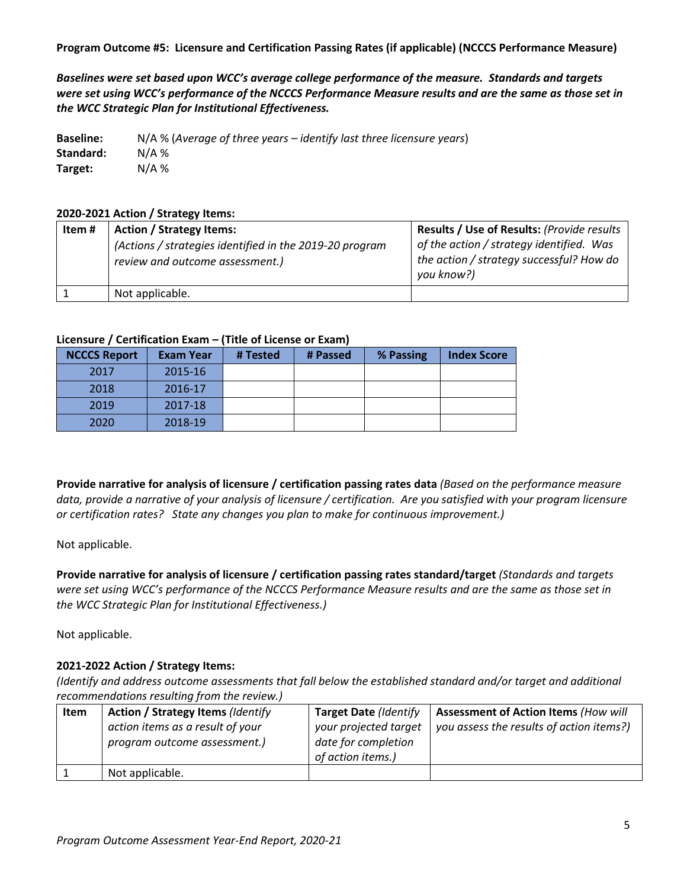**Program Outcome #5: Licensure and Certification Passing Rates (if applicable) (NCCCS Performance Measure)**

*Baselines were set based upon WCC's average college performance of the measure. Standards and targets were set using WCC's performance of the NCCCS Performance Measure results and are the same as those set in the WCC Strategic Plan for Institutional Effectiveness.*

**Baseline:** N/A % (*Average of three years – identify last three licensure years*) **Standard:** N/A % **Target:** N/A %

## **2020-2021 Action / Strategy Items:**

| Item # | <b>Action / Strategy Items:</b><br>(Actions / strategies identified in the 2019-20 program<br>review and outcome assessment.) | <b>Results / Use of Results: (Provide results)</b><br>of the action / strategy identified. Was<br>the action / strategy successful? How do<br>you know?) |
|--------|-------------------------------------------------------------------------------------------------------------------------------|----------------------------------------------------------------------------------------------------------------------------------------------------------|
|        | Not applicable.                                                                                                               |                                                                                                                                                          |

## **Licensure / Certification Exam – (Title of License or Exam)**

| <b>NCCCS Report</b> | <b>Exam Year</b> | # Tested | # Passed | % Passing | <b>Index Score</b> |
|---------------------|------------------|----------|----------|-----------|--------------------|
| 2017                | 2015-16          |          |          |           |                    |
| 2018                | 2016-17          |          |          |           |                    |
| 2019                | 2017-18          |          |          |           |                    |
| 2020                | 2018-19          |          |          |           |                    |

**Provide narrative for analysis of licensure / certification passing rates data** *(Based on the performance measure data, provide a narrative of your analysis of licensure / certification. Are you satisfied with your program licensure or certification rates? State any changes you plan to make for continuous improvement.)*

Not applicable.

**Provide narrative for analysis of licensure / certification passing rates standard/target** *(Standards and targets were set using WCC's performance of the NCCCS Performance Measure results and are the same as those set in the WCC Strategic Plan for Institutional Effectiveness.)*

Not applicable.

# **2021-2022 Action / Strategy Items:**

*(Identify and address outcome assessments that fall below the established standard and/or target and additional recommendations resulting from the review.)*

| action items as a result of your<br>your projected target<br>you assess the results of action items?)<br>date for completion<br>program outcome assessment.)<br>of action items.) | <b>Assessment of Action Items (How will</b> |
|-----------------------------------------------------------------------------------------------------------------------------------------------------------------------------------|---------------------------------------------|
| Not applicable.                                                                                                                                                                   |                                             |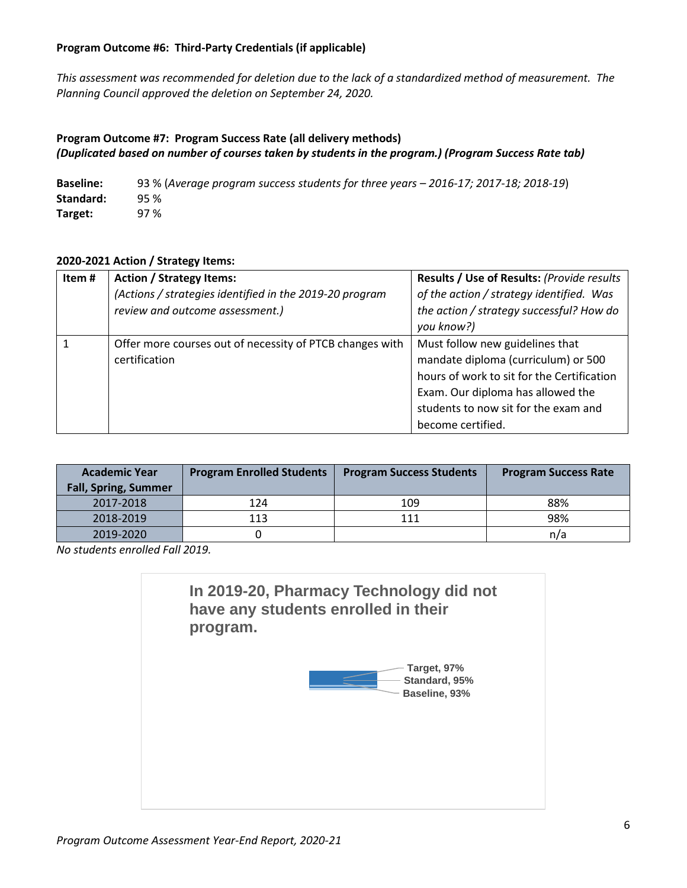## **Program Outcome #6: Third-Party Credentials (if applicable)**

*This assessment was recommended for deletion due to the lack of a standardized method of measurement. The Planning Council approved the deletion on September 24, 2020.* 

## **Program Outcome #7: Program Success Rate (all delivery methods)**  *(Duplicated based on number of courses taken by students in the program.) (Program Success Rate tab)*

**Baseline:** 93 % (*Average program success students for three years – 2016-17; 2017-18; 2018-19*) **Standard:** 95 % **Target:** 97 %

## **2020-2021 Action / Strategy Items:**

| Item# | <b>Action / Strategy Items:</b><br>(Actions / strategies identified in the 2019-20 program<br>review and outcome assessment.) | Results / Use of Results: (Provide results<br>of the action / strategy identified. Was<br>the action / strategy successful? How do<br>you know?)                                                                       |
|-------|-------------------------------------------------------------------------------------------------------------------------------|------------------------------------------------------------------------------------------------------------------------------------------------------------------------------------------------------------------------|
|       | Offer more courses out of necessity of PTCB changes with<br>certification                                                     | Must follow new guidelines that<br>mandate diploma (curriculum) or 500<br>hours of work to sit for the Certification<br>Exam. Our diploma has allowed the<br>students to now sit for the exam and<br>become certified. |

| <b>Academic Year</b><br><b>Fall, Spring, Summer</b> | <b>Program Enrolled Students</b> | <b>Program Success Students</b> | <b>Program Success Rate</b> |
|-----------------------------------------------------|----------------------------------|---------------------------------|-----------------------------|
| 2017-2018                                           | 124                              | 109                             | 88%                         |
| 2018-2019                                           | 113                              | 111                             | 98%                         |
| 2019-2020                                           |                                  |                                 | n/a                         |

*No students enrolled Fall 2019.* 

**Baseline, 93% Standard, 95% Target, 97% In 2019-20, Pharmacy Technology did not have any students enrolled in their program.**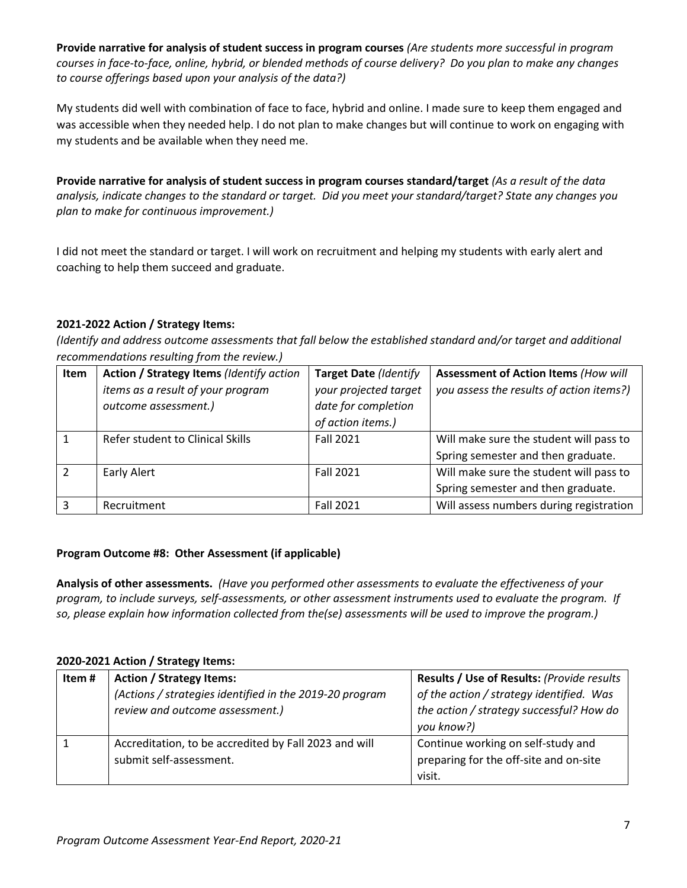**Provide narrative for analysis of student success in program courses** *(Are students more successful in program courses in face-to-face, online, hybrid, or blended methods of course delivery? Do you plan to make any changes to course offerings based upon your analysis of the data?)*

My students did well with combination of face to face, hybrid and online. I made sure to keep them engaged and was accessible when they needed help. I do not plan to make changes but will continue to work on engaging with my students and be available when they need me.

**Provide narrative for analysis of student success in program courses standard/target** *(As a result of the data analysis, indicate changes to the standard or target. Did you meet your standard/target? State any changes you plan to make for continuous improvement.)*

I did not meet the standard or target. I will work on recruitment and helping my students with early alert and coaching to help them succeed and graduate.

# **2021-2022 Action / Strategy Items:**

*(Identify and address outcome assessments that fall below the established standard and/or target and additional recommendations resulting from the review.)*

| Item | Action / Strategy Items (Identify action | <b>Target Date (Identify</b> | <b>Assessment of Action Items (How will</b> |
|------|------------------------------------------|------------------------------|---------------------------------------------|
|      | items as a result of your program        | your projected target        | you assess the results of action items?)    |
|      | outcome assessment.)                     | date for completion          |                                             |
|      |                                          | of action items.)            |                                             |
|      | Refer student to Clinical Skills         | <b>Fall 2021</b>             | Will make sure the student will pass to     |
|      |                                          |                              | Spring semester and then graduate.          |
|      | Early Alert                              | <b>Fall 2021</b>             | Will make sure the student will pass to     |
|      |                                          |                              | Spring semester and then graduate.          |
|      | Recruitment                              | <b>Fall 2021</b>             | Will assess numbers during registration     |

### **Program Outcome #8: Other Assessment (if applicable)**

**Analysis of other assessments.** *(Have you performed other assessments to evaluate the effectiveness of your program, to include surveys, self-assessments, or other assessment instruments used to evaluate the program. If so, please explain how information collected from the(se) assessments will be used to improve the program.)*

### **2020-2021 Action / Strategy Items:**

| Item# | <b>Action / Strategy Items:</b>                         | Results / Use of Results: (Provide results |
|-------|---------------------------------------------------------|--------------------------------------------|
|       | (Actions / strategies identified in the 2019-20 program | of the action / strategy identified. Was   |
|       | review and outcome assessment.)                         | the action / strategy successful? How do   |
|       |                                                         | you know?)                                 |
|       | Accreditation, to be accredited by Fall 2023 and will   | Continue working on self-study and         |
|       | submit self-assessment.                                 | preparing for the off-site and on-site     |
|       |                                                         | visit.                                     |